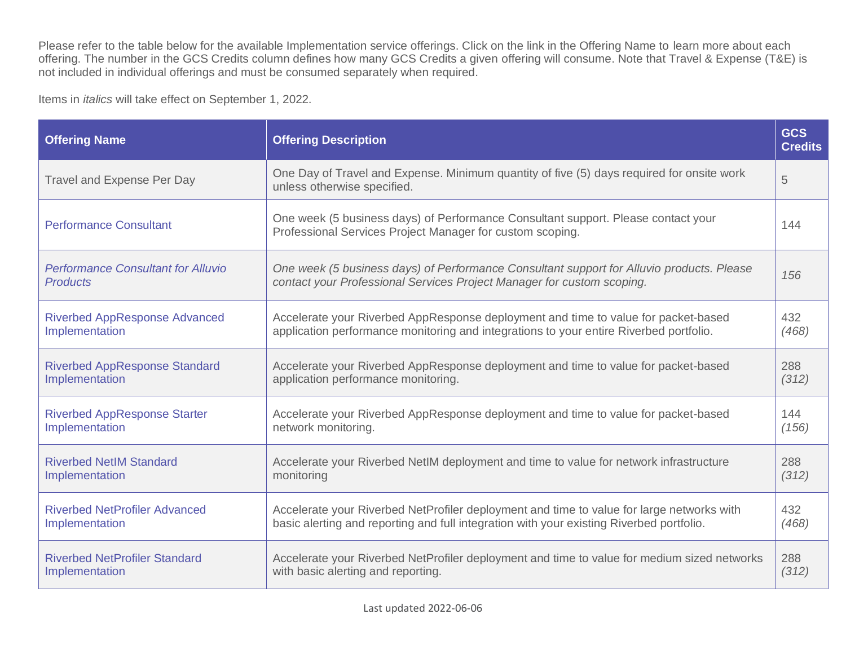Please refer to the table below for the available Implementation service offerings. Click on the link in the Offering Name to learn more about each offering. The number in the GCS Credits column defines how many GCS Credits a given offering will consume. Note that Travel & Expense (T&E) is not included in individual offerings and must be consumed separately when required.

Items in *italics* will take effect on September 1, 2022.

| <b>Offering Name</b>                                         | <b>Offering Description</b>                                                                                                                                         | <b>GCS</b><br><b>Credits</b> |
|--------------------------------------------------------------|---------------------------------------------------------------------------------------------------------------------------------------------------------------------|------------------------------|
| <b>Travel and Expense Per Day</b>                            | One Day of Travel and Expense. Minimum quantity of five (5) days required for onsite work<br>unless otherwise specified.                                            | 5                            |
| <b>Performance Consultant</b>                                | One week (5 business days) of Performance Consultant support. Please contact your<br>Professional Services Project Manager for custom scoping.                      | 144                          |
| <b>Performance Consultant for Alluvio</b><br><b>Products</b> | One week (5 business days) of Performance Consultant support for Alluvio products. Please<br>contact your Professional Services Project Manager for custom scoping. | 156                          |
| <b>Riverbed AppResponse Advanced</b>                         | Accelerate your Riverbed AppResponse deployment and time to value for packet-based                                                                                  | 432                          |
| Implementation                                               | application performance monitoring and integrations to your entire Riverbed portfolio.                                                                              | (468)                        |
| <b>Riverbed AppResponse Standard</b>                         | Accelerate your Riverbed AppResponse deployment and time to value for packet-based                                                                                  | 288                          |
| Implementation                                               | application performance monitoring.                                                                                                                                 | (312)                        |
| <b>Riverbed AppResponse Starter</b>                          | Accelerate your Riverbed AppResponse deployment and time to value for packet-based                                                                                  | 144                          |
| Implementation                                               | network monitoring.                                                                                                                                                 | (156)                        |
| <b>Riverbed NetIM Standard</b>                               | Accelerate your Riverbed NetIM deployment and time to value for network infrastructure                                                                              | 288                          |
| Implementation                                               | monitoring                                                                                                                                                          | (312)                        |
| <b>Riverbed NetProfiler Advanced</b>                         | Accelerate your Riverbed NetProfiler deployment and time to value for large networks with                                                                           | 432                          |
| Implementation                                               | basic alerting and reporting and full integration with your existing Riverbed portfolio.                                                                            | (468)                        |
| <b>Riverbed NetProfiler Standard</b>                         | Accelerate your Riverbed NetProfiler deployment and time to value for medium sized networks                                                                         | 288                          |
| Implementation                                               | with basic alerting and reporting.                                                                                                                                  | (312)                        |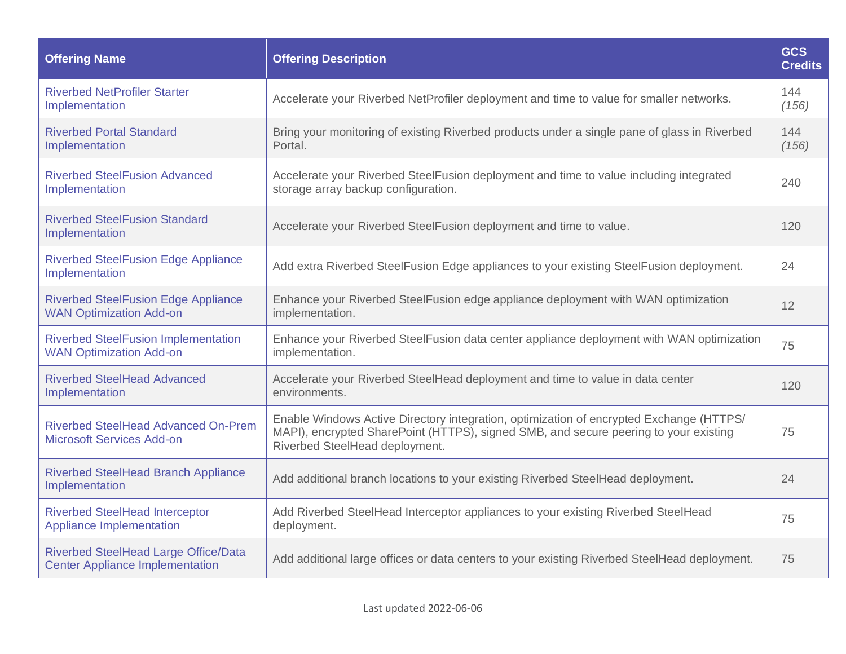| <b>Offering Name</b>                                                           | <b>Offering Description</b>                                                                                                                                                                                       | <b>GCS</b><br><b>Credits</b> |
|--------------------------------------------------------------------------------|-------------------------------------------------------------------------------------------------------------------------------------------------------------------------------------------------------------------|------------------------------|
| <b>Riverbed NetProfiler Starter</b><br>Implementation                          | Accelerate your Riverbed NetProfiler deployment and time to value for smaller networks.                                                                                                                           | 144<br>(156)                 |
| <b>Riverbed Portal Standard</b><br>Implementation                              | Bring your monitoring of existing Riverbed products under a single pane of glass in Riverbed<br>Portal.                                                                                                           | 144<br>(156)                 |
| <b>Riverbed SteelFusion Advanced</b><br>Implementation                         | Accelerate your Riverbed SteelFusion deployment and time to value including integrated<br>storage array backup configuration.                                                                                     | 240                          |
| <b>Riverbed SteelFusion Standard</b><br>Implementation                         | Accelerate your Riverbed SteelFusion deployment and time to value.                                                                                                                                                | 120                          |
| <b>Riverbed SteelFusion Edge Appliance</b><br>Implementation                   | Add extra Riverbed SteelFusion Edge appliances to your existing SteelFusion deployment.                                                                                                                           | 24                           |
| <b>Riverbed SteelFusion Edge Appliance</b><br><b>WAN Optimization Add-on</b>   | Enhance your Riverbed SteelFusion edge appliance deployment with WAN optimization<br>implementation.                                                                                                              | 12                           |
| <b>Riverbed SteelFusion Implementation</b><br><b>WAN Optimization Add-on</b>   | Enhance your Riverbed SteelFusion data center appliance deployment with WAN optimization<br>implementation.                                                                                                       | 75                           |
| <b>Riverbed SteelHead Advanced</b><br>Implementation                           | Accelerate your Riverbed SteelHead deployment and time to value in data center<br>environments.                                                                                                                   | 120                          |
| <b>Riverbed SteelHead Advanced On-Prem</b><br><b>Microsoft Services Add-on</b> | Enable Windows Active Directory integration, optimization of encrypted Exchange (HTTPS/<br>MAPI), encrypted SharePoint (HTTPS), signed SMB, and secure peering to your existing<br>Riverbed SteelHead deployment. | 75                           |
| <b>Riverbed SteelHead Branch Appliance</b><br>Implementation                   | Add additional branch locations to your existing Riverbed SteelHead deployment.                                                                                                                                   | 24                           |
| <b>Riverbed SteelHead Interceptor</b><br>Appliance Implementation              | Add Riverbed SteelHead Interceptor appliances to your existing Riverbed SteelHead<br>deployment.                                                                                                                  | 75                           |
| Riverbed SteelHead Large Office/Data<br><b>Center Appliance Implementation</b> | Add additional large offices or data centers to your existing Riverbed SteelHead deployment.                                                                                                                      | 75                           |